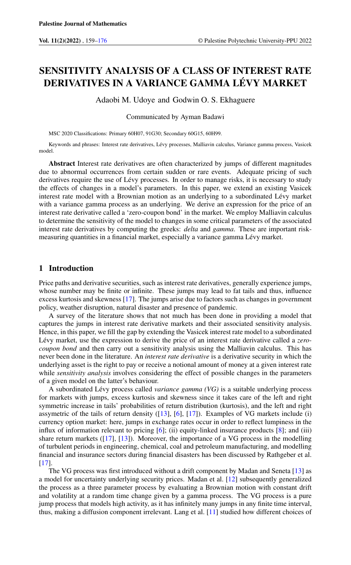# SENSITIVITY ANALYSIS OF A CLASS OF INTEREST RATE DERIVATIVES IN A VARIANCE GAMMA LÉVY MARKET

Adaobi M. Udoye and Godwin O. S. Ekhaguere

Communicated by Ayman Badawi

MSC 2020 Classifications: Primary 60H07, 91G30; Secondary 60G15, 60H99.

Keywords and phrases: Interest rate derivatives, Lévy processes, Malliavin calculus, Variance gamma process, Vasicek model.

Abstract Interest rate derivatives are often characterized by jumps of different magnitudes due to abnormal occurrences from certain sudden or rare events. Adequate pricing of such derivatives require the use of Lévy processes. In order to manage risks, it is necessary to study the effects of changes in a model's parameters. In this paper, we extend an existing Vasicek interest rate model with a Brownian motion as an underlying to a subordinated Lévy market with a variance gamma process as an underlying. We derive an expression for the price of an interest rate derivative called a 'zero-coupon bond' in the market. We employ Malliavin calculus to determine the sensitivity of the model to changes in some critical parameters of the associated interest rate derivatives by computing the greeks: *delta* and *gamma*. These are important riskmeasuring quantities in a financial market, especially a variance gamma Lévy market.

# 1 Introduction

Price paths and derivative securities, such as interest rate derivatives, generally experience jumps, whose number may be finite or infinite. These jumps may lead to fat tails and thus, influence excess kurtosis and skewness [\[17\]](#page-17-0). The jumps arise due to factors such as changes in government policy, weather disruption, natural disaster and presence of pandemic.

A survey of the literature shows that not much has been done in providing a model that captures the jumps in interest rate derivative markets and their associated sensitivity analysis. Hence, in this paper, we fill the gap by extending the Vasicek interest rate model to a subordinated Lévy market, use the expression to derive the price of an interest rate derivative called a *zerocoupon bond* and then carry out a sensitivity analysis using the Malliavin calculus. This has never been done in the literature. An *interest rate derivative* is a derivative security in which the underlying asset is the right to pay or receive a notional amount of money at a given interest rate while *sensitivity analysis* involves considering the effect of possible changes in the parameters of a given model on the latter's behaviour.

A subordinated Lévy process called *variance gamma (VG)* is a suitable underlying process for markets with jumps, excess kurtosis and skewness since it takes care of the left and right symmetric increase in tails' probabilities of return distribution (kurtosis), and the left and right assymetric of the tails of return density ([\[13\]](#page-17-1), [\[6\]](#page-16-1), [\[17\]](#page-17-0)). Examples of VG markets include (i) currency option market: here, jumps in exchange rates occur in order to reflect lumpiness in the influx of information relevant to pricing [\[6\]](#page-16-1); (ii) equity-linked insurance products [\[8\]](#page-16-2); and (iii) share return markets  $([17], [13])$  $([17], [13])$  $([17], [13])$  $([17], [13])$  $([17], [13])$ . Moreover, the importance of a VG process in the modelling of turbulent periods in engineering, chemical, coal and petroleum manufacturing, and modelling financial and insurance sectors during financial disasters has been discussed by Rathgeber et al. [\[17\]](#page-17-0).

The VG process was first introduced without a drift component by Madan and Seneta [\[13\]](#page-17-1) as a model for uncertainty underlying security prices. Madan et al. [\[12\]](#page-17-2) subsequently generalized the process as a three parameter process by evaluating a Brownian motion with constant drift and volatility at a random time change given by a gamma process. The VG process is a pure jump process that models high activity, as it has infinitely many jumps in any finite time interval, thus, making a diffusion component irrelevant. Lang et al. [\[11\]](#page-16-3) studied how different choices of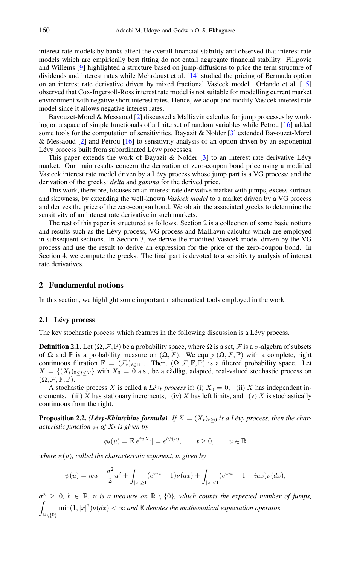interest rate models by banks affect the overall financial stability and observed that interest rate models which are empirically best fitting do not entail aggregate financial stability. Filipovic and Willems [\[9\]](#page-16-4) highlighted a structure based on jump-diffusions to price the term structure of dividends and interest rates while Mehrdoust et al. [\[14\]](#page-17-3) studied the pricing of Bermuda option on an interest rate derivative driven by mixed fractional Vasicek model. Orlando et al. [\[15\]](#page-17-4) observed that Cox-Ingersoll-Ross interest rate model is not suitable for modelling current market environment with negative short interest rates. Hence, we adopt and modify Vasicek interest rate model since it allows negative interest rates.

Bavouzet-Morel & Messaoud [\[2\]](#page-16-5) discussed a Malliavin calculus for jump processes by working on a space of simple functionals of a finite set of random variables while Petrou [\[16\]](#page-17-5) added some tools for the computation of sensitivities. Bayazit & Nolder [\[3\]](#page-16-6) extended Bavouzet-Morel & Messaoud [\[2\]](#page-16-5) and Petrou [\[16\]](#page-17-5) to sensitivity analysis of an option driven by an exponential Lévy process built from subordinated Lévy processes.

This paper extends the work of Bayazit  $\&$  Nolder [\[3\]](#page-16-6) to an interest rate derivative Lévy market. Our main results concern the derivation of zero-coupon bond price using a modified Vasicek interest rate model driven by a Lévy process whose jump part is a VG process; and the derivation of the greeks: *delta* and *gamma* for the derived price.

This work, therefore, focuses on an interest rate derivative market with jumps, excess kurtosis and skewness, by extending the well-known *Vasicek model* to a market driven by a VG process and derives the price of the zero-coupon bond. We obtain the associated greeks to determine the sensitivity of an interest rate derivative in such markets.

The rest of this paper is structured as follows. Section 2 is a collection of some basic notions and results such as the Lévy process, VG process and Malliavin calculus which are employed in subsequent sections. In Section 3, we derive the modified Vasicek model driven by the VG process and use the result to derive an expression for the price of the zero-coupon bond. In Section 4, we compute the greeks. The final part is devoted to a sensitivity analysis of interest rate derivatives.

## 2 Fundamental notions

In this section, we highlight some important mathematical tools employed in the work.

## 2.1 Lévy process

The key stochastic process which features in the following discussion is a Lévy process.

**Definition 2.1.** Let  $(\Omega, \mathcal{F}, \mathbb{P})$  be a probability space, where  $\Omega$  is a set,  $\mathcal{F}$  is a  $\sigma$ -algebra of subsets of  $\Omega$  and  $\mathbb P$  is a probability measure on  $(\Omega, \mathcal F)$ . We equip  $(\Omega, \mathcal F, \mathbb P)$  with a complete, right continuous filtration  $\mathbb{F} = (\mathcal{F}_t)_{t \in \mathbb{R}_+}$ . Then,  $(\Omega, \mathcal{F}, \mathbb{F}, \mathbb{P})$  is a filtered probability space. Let  $X = \{(X_t)_{0 \le t \le T}\}\$  with  $X_0 = 0$  a.s., be a càdlàg, adapted, real-valued stochastic process on  $(\Omega, \mathcal{F}, \mathbb{F}, \mathbb{P}).$ 

A stochastic process X is called a *Lévy process* if: (i)  $X_0 = 0$ , (ii) X has independent increments, (iii) X has stationary increments, (iv) X has left limits, and (v) X is stochastically continuous from the right.

**Proposition 2.2.** *(Lévy-Khintchine formula). If*  $X = (X_t)_{t \geq 0}$  *is a Lévy process, then the characteristic function*  $\phi_t$  *of*  $X_t$  *is given by* 

$$
\phi_t(u) = \mathbb{E}[e^{iuX_t}] = e^{t\psi(u)}, \qquad t \ge 0, \qquad u \in \mathbb{R}
$$

*where*  $\psi(u)$ *, called the characteristic exponent, is given by* 

$$
\psi(u) = ibu - \frac{\sigma^2}{2}u^2 + \int_{|x| \ge 1} (e^{iux} - 1)\nu(dx) + \int_{|x| < 1} (e^{iux} - 1 - iux)\nu(dx),
$$

 $\sigma^2 \geq 0$ ,  $b \in \mathbb{R}$ ,  $\nu$  is a measure on  $\mathbb{R} \setminus \{0\}$ , which counts the expected number of jumps, Z  $\mathbb{R}\backslash\{0\}$  $\min(1, |x|^2)\nu(dx) < \infty$  and  $\mathbb E$  denotes the mathematical expectation operator.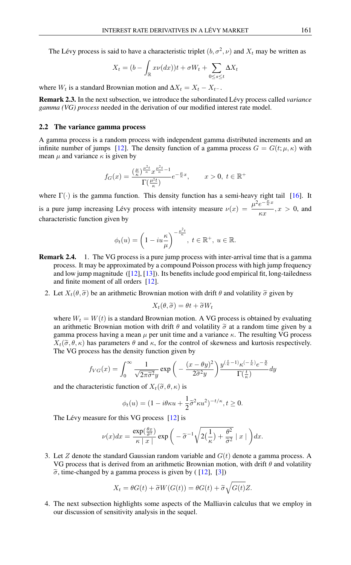The Lévy process is said to have a characteristic triplet  $(b, \sigma^2, \nu)$  and  $X_t$  may be written as

$$
X_t = (b - \int_{\mathbb{R}} x\nu(dx))t + \sigma W_t + \sum_{0 \le s \le t} \Delta X_t
$$

where  $W_t$  is a standard Brownian motion and  $\Delta X_t = X_t - X_{t-}$ .

Remark 2.3. In the next subsection, we introduce the subordinated Lévy process called *variance gamma (VG) process* needed in the derivation of our modified interest rate model.

#### 2.2 The variance gamma process

A gamma process is a random process with independent gamma distributed increments and an infinite number of jumps [\[12\]](#page-17-2). The density function of a gamma process  $G = G(t; \mu, \kappa)$  with mean  $\mu$  and variance  $\kappa$  is given by

$$
f_G(x) = \frac{\left(\frac{\mu}{\kappa}\right)^{\frac{\mu^2 t}{\kappa}} x^{\frac{\mu^2 t}{\kappa} - 1}}{\Gamma(\frac{\mu^2 t}{\kappa})} e^{-\frac{\mu}{\kappa}x}, \qquad x > 0, \ t \in \mathbb{R}^+
$$

where  $\Gamma(\cdot)$  is the gamma function. This density function has a semi-heavy right tail [\[16\]](#page-17-5). It is a pure jump increasing Lévy process with intensity measure  $\nu(x) = \frac{\mu^2 e^{-\frac{\mu}{k}x}}{x}$  $\frac{c}{\kappa x}, x > 0$ , and characteristic function given by

$$
\phi_t(u) = \left(1 - iu\frac{\kappa}{\mu}\right)^{-\frac{\mu^2 t}{\kappa}}, \ t \in \mathbb{R}^+, \ u \in \mathbb{R}.
$$

- Remark 2.4. 1. The VG process is a pure jump process with inter-arrival time that is a gamma process. It may be approximated by a compound Poisson process with high jump frequency and low jump magnitude  $([12], [13])$  $([12], [13])$  $([12], [13])$  $([12], [13])$  $([12], [13])$ . Its benefits include good empirical fit, long-tailedness and finite moment of all orders [\[12\]](#page-17-2).
	- 2. Let  $X_t(\theta, \tilde{\sigma})$  be an arithmetic Brownian motion with drift  $\theta$  and volatility  $\tilde{\sigma}$  given by

$$
X_t(\theta, \widetilde{\sigma}) = \theta t + \widetilde{\sigma} W_t
$$

where  $W_t = W(t)$  is a standard Brownian motion. A VG process is obtained by evaluating an arithmetic Brownian motion with drift  $\theta$  and volatility  $\tilde{\sigma}$  at a random time given by a gamma process having a mean  $\mu$  per unit time and a variance  $\kappa$ . The resulting VG process  $X_t(\tilde{\sigma}, \theta, \kappa)$  has parameters  $\theta$  and  $\kappa$ , for the control of skewness and kurtosis respectively. The VG process has the density function given by

$$
f_{VG}(x) = \int_0^\infty \frac{1}{\sqrt{2\pi\tilde{\sigma}^2 y}} \exp\left(-\frac{(x-\theta y)^2}{2\tilde{\sigma}^2 y}\right) \frac{y^{\left(\frac{t}{\kappa}-1\right)}\kappa^{\left(-\frac{t}{\kappa}\right)}e^{-\frac{y}{\kappa}}}{\Gamma(\frac{t}{\kappa})} dy
$$

and the characteristic function of  $X_t(\tilde{\sigma}, \theta, \kappa)$  is

$$
\phi_t(u) = (1 - i\theta\kappa u + \frac{1}{2}\tilde{\sigma}^2\kappa u^2)^{-t/\kappa}, t \ge 0.
$$

The Lévy measure for this VG process [\[12\]](#page-17-2) is

$$
\nu(x)dx = \frac{\exp(\frac{\theta x}{\tilde{\sigma}^2})}{\kappa |x|} \exp\bigg(-\tilde{\sigma}^{-1}\sqrt{2(\frac{1}{\kappa}) + \frac{\theta^2}{\tilde{\sigma}^2}} \mid x \mid \bigg) dx.
$$

3. Let Z denote the standard Gaussian random variable and  $G(t)$  denote a gamma process. A VG process that is derived from an arithmetic Brownian motion, with drift  $\theta$  and volatility  $\tilde{\sigma}$ , time-changed by a gamma process is given by ( [\[12\]](#page-17-2), [\[3\]](#page-16-6))

$$
X_t = \theta G(t) + \tilde{\sigma} W(G(t)) = \theta G(t) + \tilde{\sigma} \sqrt{G(t)} Z.
$$

4. The next subsection highlights some aspects of the Malliavin calculus that we employ in our discussion of sensitivity analysis in the sequel.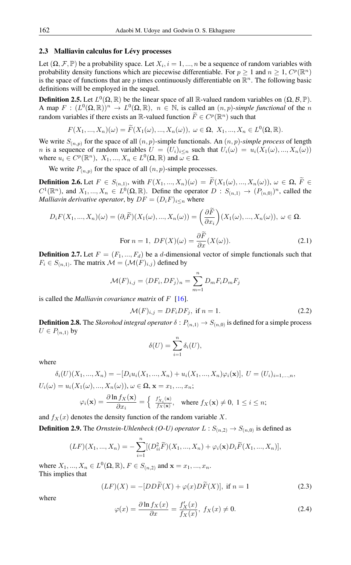## 2.3 Malliavin calculus for Lévy processes

Let  $(\Omega, \mathcal{F}, \mathbb{P})$  be a probability space. Let  $X_i$ ,  $i = 1, ..., n$  be a sequence of random variables with probability density functions which are piecewise differentiable. For  $p \ge 1$  and  $n \ge 1$ ,  $C^p(\mathbb{R}^n)$ is the space of functions that are p times continuously differentiable on  $\mathbb{R}^n$ . The following basic definitions will be employed in the sequel.

**Definition 2.5.** Let  $L^0(\Omega, \mathbb{R})$  be the linear space of all  $\mathbb{R}$ -valued random variables on  $(\Omega, \mathcal{B}, \mathbb{P})$ . A map  $F: (L^0(\Omega, \mathbb{R}))^n \to L^0(\Omega, \mathbb{R}), n \in \mathbb{N}$ , is called an  $(n, p)$ -*simple functional* of the *n* random variables if there exists an  $\mathbb{R}$ -valued function  $\widetilde{F} \in C^p(\mathbb{R}^n)$  such that

$$
F(X_1, ..., X_n)(\omega) = \widetilde{F}(X_1(\omega), ..., X_n(\omega)), \ \omega \in \Omega, \ X_1, ..., X_n \in L^0(\Omega, \mathbb{R}).
$$

We write  $S_{(n,p)}$  for the space of all  $(n, p)$ -simple functionals. An  $(n, p)$ -simple process of length n is a sequence of random variables  $U = (U_i)_{i \le n}$  such that  $U_i(\omega) = u_i(X_1(\omega), ..., X_n(\omega))$ where  $u_i \in C^p(\mathbb{R}^n)$ ,  $X_1, ..., X_n \in L^0(\Omega, \mathbb{R})$  and  $\omega \in \Omega$ .

We write  $P_{(n,p)}$  for the space of all  $(n, p)$ -simple processes.

**Definition 2.6.** Let  $F \in S_{(n,1)}$ , with  $F(X_1, ..., X_n)(\omega) = F(X_1(\omega), ..., X_n(\omega))$ ,  $\omega \in \Omega$ ,  $F \in \mathbb{R}^{n \times n}$  $C^1(\mathbb{R}^n)$ , and  $X_1, ..., X_n \in L^0(\Omega, \mathbb{R})$ . Define the operator  $D : S_{(n,1)} \to (P_{(n,0)})^n$ , called the *Malliavin derivative operator*, by  $DF = (D_iF)_{i \leq n}$  where

<span id="page-3-0"></span>
$$
D_i F(X_1, ..., X_n)(\omega) = (\partial_i \widetilde{F})(X_1(\omega), ..., X_n(\omega)) = \left(\frac{\partial \widetilde{F}}{\partial x_i}\right)(X_1(\omega), ..., X_n(\omega)), \ \omega \in \Omega.
$$
  
For  $n = 1$ ,  $DF(X)(\omega) = \frac{\partial \widetilde{F}}{\partial x}(X(\omega)).$  (2.1)

**Definition 2.7.** Let  $F = (F_1, ..., F_d)$  be a d-dimensional vector of simple functionals such that  $F_i \in S_{(n,1)}$ . The matrix  $\mathcal{M} = (\mathcal{M}(F)_{i,j})$  defined by

$$
\mathcal{M}(F)_{i,j} = \langle DF_i, DF_j \rangle_n = \sum_{m=1}^n D_m F_i D_m F_j
$$

is called the *Malliavin covariance matrix* of F [\[16\]](#page-17-5).

$$
\mathcal{M}(F)_{i,j} = DF_i DF_j, \text{ if } n = 1.
$$
 (2.2)

**Definition 2.8.** The *Skorohod integral operator*  $\delta: P_{(n,1)} \to S_{(n,0)}$  is defined for a simple process  $U \in P_{(n,1)}$  by

<span id="page-3-1"></span>
$$
\delta(U) = \sum_{i=1}^{n} \delta_i(U),
$$

where

$$
\delta_i(U)(X_1, ..., X_n) = -[D_i u_i(X_1, ..., X_n) + u_i(X_1, ..., X_n)\varphi_i(\mathbf{x})], \ U = (U_i)_{i=1,...,n},
$$
  

$$
U_i(\omega) = u_i(X_1(\omega), ..., X_n(\omega)), \ \omega \in \Omega, \ \mathbf{x} = x_1, ..., x_n;
$$

$$
\varphi_i(\mathbf{x}) = \frac{\partial \ln f_X(\mathbf{x})}{\partial x_i} = \left\{ \begin{array}{ll} \frac{f'_{X_i}(\mathbf{x})}{f_X(\mathbf{x})}, & \text{where } f_X(\mathbf{x}) \neq 0, \ 1 \leq i \leq n; \end{array} \right.
$$

and  $f_X(x)$  denotes the density function of the random variable X. **Definition 2.9.** The *Ornstein-Uhlenbeck* (*O-U*) *operator*  $L: S_{(n,2)} \to S_{(n,0)}$  is defined as

$$
(LF)(X_1, ..., X_n) = -\sum_{i=1}^n [(D_{ii}^2 \widetilde{F})(X_1, ..., X_n) + \varphi_i(\mathbf{x}) D_i \widetilde{F}(X_1, ..., X_n)],
$$

where  $X_1, ..., X_n \in L^0(\Omega, \mathbb{R})$ ,  $F \in S_{(n,2)}$  and  $\mathbf{x} = x_1, ..., x_n$ . This implies that

<span id="page-3-2"></span>
$$
(LF)(X) = -[DD\widetilde{F}(X) + \varphi(x)D\widetilde{F}(X)], \text{ if } n = 1
$$
\n(2.3)

<span id="page-3-3"></span>where

$$
\varphi(x) = \frac{\partial \ln f_X(x)}{\partial x} = \frac{f'_X(x)}{f_X(x)}, \ f_X(x) \neq 0.
$$
 (2.4)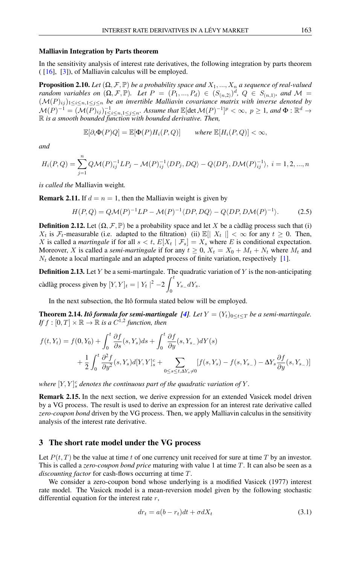### Malliavin Integration by Parts theorem

In the sensitivity analysis of interest rate derivatives, the following integration by parts theorem  $([16], [3])$  $([16], [3])$  $([16], [3])$  $([16], [3])$  $([16], [3])$ , of Malliavin calculus will be employed.

**Proposition 2.10.** *Let*  $(\Omega, \mathcal{F}, \mathbb{P})$  *be a probability space and*  $X_1, ..., X_n$  *a sequence of real-valued random variables on*  $(\Omega, \mathcal{F}, \mathbb{P})$ *. Let*  $P = (P_1, ..., P_d) \in (S_{(n,2)})^d$ ,  $Q \in S_{(n,1)}$ *, and*  $\mathcal{M} =$  $(M(P)_{ij})_{1\leq i\leq n,1\leq j\leq n}$  *be an invertible Malliavin covariance matrix with inverse denoted by*  $\mathcal{M}(P)^{-1} = (\mathcal{M}(P)_{ij})^{-1}_{1 \leq i \leq n, 1 \leq j \leq n}$ . Assume that  $\mathbb{E}[\det \mathcal{M}(P)^{-1}]^p < \infty$ ,  $p \geq 1$ , and  $\Phi : \mathbb{R}^d \to$ R *is a smooth bounded function with bounded derivative. Then,*

$$
\mathbb{E}[\partial_i \Phi(P)Q] = \mathbb{E}[\Phi(P)H_i(P,Q)] \quad \text{where } \mathbb{E}[H_i(P,Q)] < \infty,
$$

*and*

$$
H_i(P,Q) = \sum_{j=1}^n Q\mathcal{M}(P)_{ij}^{-1}LP_j - \mathcal{M}(P)_{ij}^{-1} \langle DP_j, DQ \rangle - Q\langle DP_j, D\mathcal{M}(P)_{ij}^{-1} \rangle, \ i = 1, 2, ..., n
$$

*is called the* Malliavin weight*.*

**Remark 2.11.** If  $d = n = 1$ , then the Malliavin weight is given by

$$
H(P,Q) = Q\mathcal{M}(P)^{-1}LP - \mathcal{M}(P)^{-1}\langle DP, DQ \rangle - Q\langle DP, D\mathcal{M}(P)^{-1} \rangle.
$$
 (2.5)

**Definition 2.12.** Let  $(\Omega, \mathcal{F}, \mathbb{P})$  be a probability space and let X be a càdlàg process such that (i)  $X_t$  is  $\mathcal{F}_t$ -measurable (i.e. adapted to the filtration) (ii)  $\mathbb{E}[|X_t|] < \infty$  for any  $t \geq 0$ . Then, X is called a *martingale* if for all  $s < t$ ,  $E[X_t | \mathcal{F}_s] = X_s$  where E is conditional expectation. Moreover, X is called a *semi-martingale* if for any  $t \ge 0$ ,  $X_t = X_0 + M_t + N_t$  where  $M_t$  and  $N_t$  denote a local martingale and an adapted process of finite variation, respectively [\[1\]](#page-16-7).

**Definition 2.13.** Let Y be a semi-martingale. The quadratic variation of Y is the non-anticipating càdlàg process given by  $[Y, Y]_t = |Y_t|^2 - 2 \int_0^t$  $\int_{0}^{1} Y_{s-} dY_{s}.$ 

In the next subsection, the Itô formula stated below will be employed.

**Theorem 2.14.** *Itô formula for semi-martingale* [\[4\]](#page-16-8). Let  $Y = (Y_t)_{0 \le t \le T}$  be a semi-martingale. If  $f:[0,T]\times\mathbb{R}\to\mathbb{R}$  is a  $C^{1,2}$  function, then

$$
f(t, Y_t) = f(0, Y_0) + \int_0^t \frac{\partial f}{\partial s}(s, Y_s)ds + \int_0^t \frac{\partial f}{\partial y}(s, Y_{s-})dY(s)
$$
  
+ 
$$
\frac{1}{2} \int_0^t \frac{\partial^2 f}{\partial y^2}(s, Y_s)d[Y, Y]_s^c + \sum_{0 \le s \le t, \Delta Y_s \neq 0} [f(s, Y_s) - f(s, Y_{s-}) - \Delta Y_s \frac{\partial f}{\partial y}(s, Y_{s-})]
$$

where  $[Y, Y]_s^c$  denotes the continuous part of the quadratic variation of Y.

Remark 2.15. In the next section, we derive expression for an extended Vasicek model driven by a VG process. The result is used to derive an expression for an interest rate derivative called *zero-coupon bond* driven by the VG process. Then, we apply Malliavin calculus in the sensitivity analysis of the interest rate derivative.

# 3 The short rate model under the VG process

Let  $P(t, T)$  be the value at time t of one currency unit received for sure at time T by an investor. This is called a *zero-coupon bond price* maturing with value 1 at time T. It can also be seen as a *discounting factor* for cash-flows occurring at time T.

We consider a zero-coupon bond whose underlying is a modified Vasicek (1977) interest rate model. The Vasicek model is a mean-reversion model given by the following stochastic differential equation for the interest rate  $r$ ,

<span id="page-4-0"></span>
$$
dr_t = a(b - r_t)dt + \sigma dX_t \tag{3.1}
$$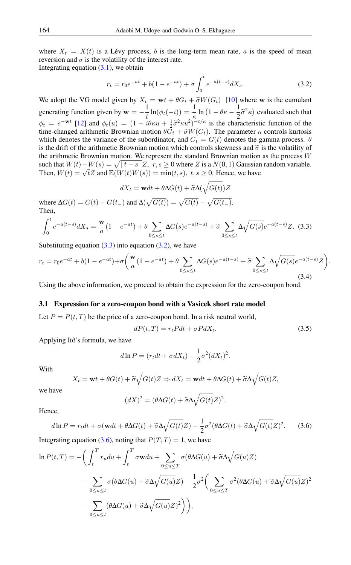where  $X_t = X(t)$  is a Lévy process, b is the long-term mean rate, a is the speed of mean reversion and  $\sigma$  is the volatility of the interest rate.

Integrating equation  $(3.1)$ , we obtain

<span id="page-5-1"></span>
$$
r_t = r_0 e^{-at} + b(1 - e^{-at}) + \sigma \int_0^t e^{-a(t-s)} dX_s.
$$
 (3.2)

We adopt the VG model given by  $X_t = \mathbf{w}t + \theta G_t + \tilde{\sigma}W(G_t)$  [\[10\]](#page-16-9) where w is the cumulant generating function given by  $w = -\frac{1}{4}$  $\frac{1}{t}\ln(\phi_t(-i)) = \frac{1}{\kappa}\ln(1-\theta\kappa-\frac{1}{2})$  $\frac{1}{2}\tilde{\sigma}^2 \kappa$ ) evaluated such that  $\phi_t = e^{-wt}$  [\[12\]](#page-17-2) and  $\phi_t(u) = (1 - i\theta\kappa u + \frac{1}{2}\tilde{\sigma}^2\kappa u^2)^{-t/\kappa}$  is the characteristic function of the time-changed arithmetic Brownian motion  $\theta G + \tilde{\sigma}W(G)$ . The parameter  $\kappa$  controls kurtosis time-changed arithmetic Brownian motion  $\theta \tilde{G}_t + \tilde{\sigma} W(G_t)$ . The parameter  $\kappa$  controls kurtosis which denotes the variance of the subordinator, and  $G_t = G(t)$  denotes the gamma process.  $\theta$ is the drift of the arithmetic Brownian motion which controls skewness and  $\tilde{\sigma}$  is the volatility of the arithmetic Brownian motion. We represent the standard Brownian motion as the process  $W$ such that  $W(t) - W(s) = \sqrt{t - s/2}, r, s \ge 0$  where Z is a  $N(0, 1)$  Gaussian random variable. Then,  $W(t) = \sqrt{t}Z$  and  $\mathbb{E}(W(t)W(s)) = \min(t, s)$ ,  $t, s \ge 0$ . Hence, we have

$$
dX_t = \mathbf{w}dt + \theta \Delta G(t) + \widetilde{\sigma} \Delta(\sqrt{G(t)})Z
$$

<span id="page-5-0"></span>where  $\Delta G(t) = G(t) - G(t_{-})$  and  $\Delta(\sqrt{G(t)}) = \sqrt{G(t)} - \sqrt{G(t_{-})}$ . Then,

$$
\int_0^t e^{-a(t-s)} dX_s = \frac{\mathbf{w}}{a} (1 - e^{-at}) + \theta \sum_{0 \le s \le t} \Delta G(s) e^{-a(t-s)} + \tilde{\sigma} \sum_{0 \le s \le t} \Delta \sqrt{G(s)} e^{-a(t-s)} Z. \tag{3.3}
$$

Substituting equation  $(3.3)$  into equation  $(3.2)$ , we have

$$
r_{t} = r_{0}e^{-at} + b(1 - e^{-at}) + \sigma \left(\frac{\mathbf{w}}{a}(1 - e^{-at}) + \theta \sum_{0 \le s \le t} \Delta G(s)e^{-a(t-s)} + \tilde{\sigma} \sum_{0 \le s \le t} \Delta \sqrt{G(s)}e^{-a(t-s)}Z\right).
$$
\n(3.4)

Using the above information, we proceed to obtain the expression for the zero-coupon bond.

### 3.1 Expression for a zero-coupon bond with a Vasicek short rate model

Let  $P = P(t, T)$  be the price of a zero-coupon bond. In a risk neutral world,

$$
dP(t,T) = r_t P dt + \sigma P dX_t.
$$
\n(3.5)

Applying Itô's formula, we have

$$
d\ln P = (r_t dt + \sigma dX_t) - \frac{1}{2}\sigma^2 (dX_t)^2.
$$

With

$$
X_t = \mathbf{w}t + \theta G(t) + \tilde{\sigma}\sqrt{G(t)}Z \Rightarrow dX_t = \mathbf{w}dt + \theta\Delta G(t) + \tilde{\sigma}\Delta\sqrt{G(t)}Z,
$$

we have

$$
(dX)^{2} = (\theta \Delta G(t) + \tilde{\sigma} \Delta \sqrt{G(t)}Z)^{2}.
$$

Hence,

<span id="page-5-2"></span>
$$
d\ln P = r_t dt + \sigma(\mathbf{w} dt + \theta \Delta G(t) + \tilde{\sigma} \Delta \sqrt{G(t)} Z) - \frac{1}{2} \sigma^2 (\theta \Delta G(t) + \tilde{\sigma} \Delta \sqrt{G(t)} Z)^2.
$$
 (3.6)

Integrating equation [\(3.6\)](#page-5-2), noting that  $P(T, T) = 1$ , we have

$$
\ln P(t,T) = -\bigg(\int_t^T r_u du + \int_t^T \sigma \mathbf{w} du + \sum_{0 \le u \le T} \sigma(\theta \Delta G(u) + \tilde{\sigma} \Delta \sqrt{G(u)} Z) - \sum_{0 \le u \le t} \sigma(\theta \Delta G(u) + \tilde{\sigma} \Delta \sqrt{G(u)} Z) - \frac{1}{2} \sigma^2 \bigg(\sum_{0 \le u \le T} \sigma^2 (\theta \Delta G(u) + \tilde{\sigma} \Delta \sqrt{G(u)} Z)^2 - \sum_{0 \le u \le t} (\theta \Delta G(u) + \tilde{\sigma} \Delta \sqrt{G(u)} Z)^2\bigg)\bigg),
$$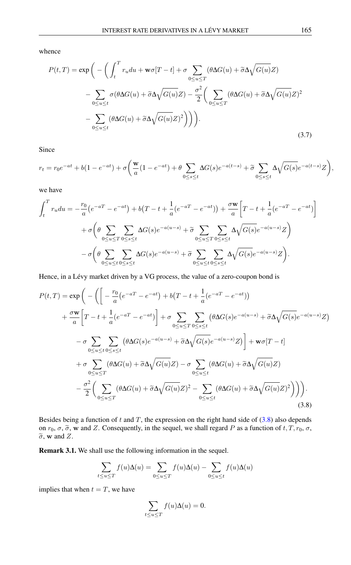whence

$$
P(t,T) = \exp\left(-\left(\int_t^T r_u du + \mathbf{w}\sigma[T-t] + \sigma \sum_{0 \le u \le T} (\theta \Delta G(u) + \tilde{\sigma}\Delta \sqrt{G(u)}Z)\right) - \sum_{0 \le u \le t} \sigma (\theta \Delta G(u) + \tilde{\sigma}\Delta \sqrt{G(u)}Z) - \sum_{0 \le u \le t} (\theta \Delta G(u) + \tilde{\sigma}\Delta \sqrt{G(u)}Z)^2\right)\right).
$$
\n(3.7)

Since

$$
r_t = r_0 e^{-at} + b(1 - e^{-at}) + \sigma \left( \frac{\mathbf{w}}{a} (1 - e^{-at}) + \theta \sum_{0 \le s \le t} \Delta G(s) e^{-a(t-s)} + \widetilde{\sigma} \sum_{0 \le s \le t} \Delta \sqrt{G(s)} e^{-a(t-s)} Z \right),
$$

we have

$$
\int_{t}^{T} r_{u} du = -\frac{r_{0}}{a} \left(e^{-aT} - e^{-at}\right) + b\left(T - t + \frac{1}{a} (e^{-aT} - e^{-at})\right) + \frac{\sigma \mathbf{w}}{a} \left[T - t + \frac{1}{a} (e^{-aT} - e^{-at})\right]
$$

$$
+ \sigma \left(\theta \sum_{0 \le u \le T} \sum_{0 \le s \le t} \Delta G(s) e^{-a(u-s)} + \tilde{\sigma} \sum_{0 \le u \le T} \sum_{0 \le s \le t} \Delta \sqrt{G(s)} e^{-a(u-s)} Z\right)
$$

$$
- \sigma \left(\theta \sum_{0 \le u \le t} \sum_{0 \le s \le t} \Delta G(s) e^{-a(u-s)} + \tilde{\sigma} \sum_{0 \le u \le t} \sum_{0 \le s \le t} \Delta \sqrt{G(s)} e^{-a(u-s)} Z\right).
$$

Hence, in a Lévy market driven by a VG process, the value of a zero-coupon bond is

<span id="page-6-0"></span>
$$
P(t,T) = \exp\left(-\left(\left[-\frac{r_0}{a}(e^{-aT}-e^{-at})+b(T-t+\frac{1}{a}(e^{-aT}-e^{-at}))\right.\right.\right.\left. + \frac{\sigma \mathbf{w}}{a}\left[T-t+\frac{1}{a}(e^{-aT}-e^{-at})\right]+\sigma \sum_{0\leq u\leq T}\sum_{0\leq s\leq t}\left(\theta\Delta G(s)e^{-a(u-s)}+\tilde{\sigma}\Delta\sqrt{G(s)}e^{-a(u-s)}Z\right)\right.\left. - \sigma \sum_{0\leq u\leq t}\sum_{0\leq s\leq t}\left(\theta\Delta G(s)e^{-a(u-s)}+\tilde{\sigma}\Delta\sqrt{G(s)}e^{-a(u-s)}Z\right)\right]+\mathbf{w}\sigma[T-t]\left. + \sigma \sum_{0\leq u\leq T}\left(\theta\Delta G(u)+\tilde{\sigma}\Delta\sqrt{G(u)}Z\right)-\sigma \sum_{0\leq u\leq t}\left(\theta\Delta G(u)+\tilde{\sigma}\Delta\sqrt{G(u)}Z\right)\left. - \frac{\sigma^2}{2}\left(\sum_{0\leq u\leq T}\left(\theta\Delta G(u)+\tilde{\sigma}\Delta\sqrt{G(u)}Z\right)^2-\sum_{0\leq u\leq t}\left(\theta\Delta G(u)+\tilde{\sigma}\Delta\sqrt{G(u)}Z\right)^2\right)\right)\right). \tag{3.8}
$$

Besides being a function of  $t$  and  $T$ , the expression on the right hand side of  $(3.8)$  also depends on  $r_0$ ,  $\sigma$ ,  $\tilde{\sigma}$ , w and Z. Consequently, in the sequel, we shall regard P as a function of  $t, T, r_0, \sigma$ ,  $\widetilde{\sigma}$ , w and Z.

Remark 3.1. We shall use the following information in the sequel.

$$
\sum_{t \le u \le T} f(u)\Delta(u) = \sum_{0 \le u \le T} f(u)\Delta(u) - \sum_{0 \le u \le t} f(u)\Delta(u)
$$

implies that when  $t = T$ , we have

$$
\sum_{t \le u \le T} f(u)\Delta(u) = 0.
$$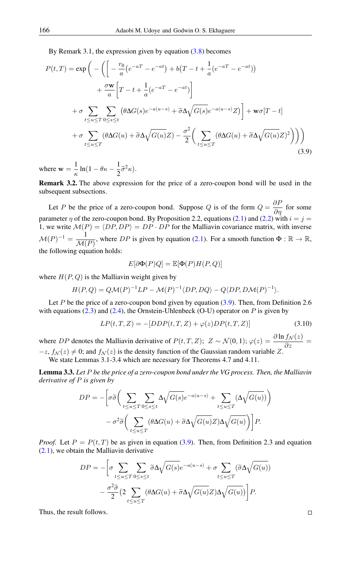<span id="page-7-0"></span>By Remark 3.1, the expression given by equation  $(3.8)$  becomes

$$
P(t,T) = \exp\left(-\left(\left[-\frac{r_0}{a}(e^{-aT} - e^{-at}) + b(T - t + \frac{1}{a}(e^{-aT} - e^{-at}))\right)\right.\right.\left. + \frac{\sigma \mathbf{w}}{a}\left[T - t + \frac{1}{a}(e^{-aT} - e^{-at})\right]\right.\left. + \sigma \sum_{t \le u \le T} \sum_{0 \le s \le t} \left(\theta \Delta G(s)e^{-a(u-s)} + \tilde{\sigma}\Delta \sqrt{G(s)}e^{-a(u-s)}Z\right)\right] + \mathbf{w}\sigma[T - t]\left. + \sigma \sum_{t \le u \le T} \left(\theta \Delta G(u) + \tilde{\sigma}\Delta \sqrt{G(u)}Z\right) - \frac{\sigma^2}{2}\left(\sum_{t \le u \le T} \left(\theta \Delta G(u) + \tilde{\sigma}\Delta \sqrt{G(u)}Z\right)^2\right)\right)\right)
$$
\n(3.9)

where  $w = \frac{1}{v}$  $\frac{1}{\kappa}\ln(1-\theta\kappa-\frac{1}{2})$  $\frac{1}{2}\widetilde{\sigma}^2\kappa$ ).

Remark 3.2. The above expression for the price of a zero-coupon bond will be used in the subsequent subsections.

Let P be the price of a zero-coupon bond. Suppose Q is of the form  $Q = \frac{\partial P}{\partial \eta}$  for some parameter  $\eta$  of the zero-coupon bond. By Proposition 2.2, equations [\(2.1\)](#page-3-0) and [\(2.2\)](#page-3-1) with  $i = j =$ 1, we write  $\mathcal{M}(P) = \langle DP, DP \rangle = DP \cdot DP$  for the Malliavin covariance matrix, with inverse  $\mathcal{M}(P)^{-1} = \frac{1}{\Delta A}$  $\frac{1}{\mathcal{M}(P)}$ , where DP is given by equation [\(2.1\)](#page-3-0). For a smooth function  $\Phi : \mathbb{R} \to \mathbb{R}$ , the following equation holds:

<span id="page-7-2"></span>
$$
E[\partial \Phi(P)Q] = \mathbb{E}[\Phi(P)H(P,Q)]
$$

where  $H(P,Q)$  is the Malliavin weight given by

$$
H(P,Q) = Q\mathcal{M}(P)^{-1}LP - \mathcal{M}(P)^{-1}\langle DP, DQ \rangle - Q\langle DP, D\mathcal{M}(P)^{-1} \rangle.
$$

Let P be the price of a zero-coupon bond given by equation  $(3.9)$ . Then, from Definition 2.6 with equations  $(2.3)$  and  $(2.4)$ , the Ornstein-Uhlenbeck  $(O-U)$  operator on P is given by

$$
LP(t, T, Z) = -[DDP(t, T, Z) + \varphi(z)DP(t, T, Z)]
$$
\n(3.10)

where DP denotes the Malliavin derivative of  $P(t, T, Z)$ ;  $Z \sim \mathcal{N}(0, 1)$ ;  $\varphi(z) = \frac{\partial \ln f_{\mathcal{N}}(z)}{\partial z} =$  $-z$ ,  $f_{\mathcal{N}}(z) \neq 0$ ; and  $f_{\mathcal{N}}(z)$  is the density function of the Gaussian random variable Z. We state Lemmas 3.1-3.4 which are necessary for Theorems 4.7 and 4.11.

<span id="page-7-1"></span>Lemma 3.3. *Let* P *be the price of a zero-coupon bond under the VG process. Then, the Malliavin derivative of* P *is given by*

$$
DP = -\left[\sigma\tilde{\sigma}\left(\sum_{t \le u \le T}\sum_{0 \le s \le t} \Delta\sqrt{G(s)}e^{-a(u-s)} + \sum_{t \le u \le T} (\Delta\sqrt{G(u)})\right)\right]
$$

$$
-\sigma^2\tilde{\sigma}\left(\sum_{t \le u \le T} (\theta\Delta G(u) + \tilde{\sigma}\Delta\sqrt{G(u)}Z)\Delta\sqrt{G(u)}\right)\right]P.
$$

*Proof.* Let  $P = P(t, T)$  be as given in equation [\(3.9\)](#page-7-0). Then, from Definition 2.3 and equation [\(2.1\)](#page-3-0), we obtain the Malliavin derivative

$$
DP = -\left[\sigma \sum_{t \le u \le T} \sum_{0 \le s \le t} \widetilde{\sigma} \Delta \sqrt{G(s)} e^{-a(u-s)} + \sigma \sum_{t \le u \le T} (\widetilde{\sigma} \Delta \sqrt{G(u)})\right] - \frac{\sigma^2 \widetilde{\sigma}}{2} \left(2 \sum_{t \le u \le T} (\theta \Delta G(u) + \widetilde{\sigma} \Delta \sqrt{G(u)} Z) \Delta \sqrt{G(u)}\right) P.
$$

Thus, the result follows.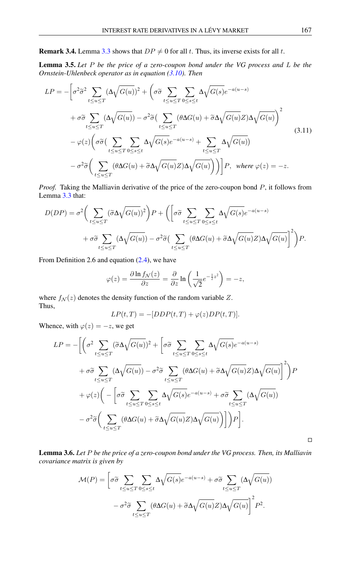<span id="page-8-0"></span>**Remark 3.4.** Lemma [3.3](#page-7-1) shows that  $DP \neq 0$  for all t. Thus, its inverse exists for all t.

<span id="page-8-2"></span>Lemma 3.5. *Let* P *be the price of a zero-coupon bond under the VG process and* L *be the Ornstein-Uhlenbeck operator as in equation [\(3.10\)](#page-7-2). Then*

<span id="page-8-3"></span>
$$
LP = -\left[\sigma^2 \tilde{\sigma}^2 \sum_{t \le u \le T} (\Delta \sqrt{G(u)})^2 + \left(\sigma \tilde{\sigma} \sum_{t \le u \le T} \sum_{0 \le s \le t} \Delta \sqrt{G(s)} e^{-a(u-s)}\right)\right]
$$
  
+  $\sigma \tilde{\sigma} \sum_{t \le u \le T} (\Delta \sqrt{G(u)}) - \sigma^2 \tilde{\sigma} \left(\sum_{t \le u \le T} (\theta \Delta G(u) + \tilde{\sigma} \Delta \sqrt{G(u)} Z) \Delta \sqrt{G(u)}\right)^2$   
-  $\varphi(z) \left(\sigma \tilde{\sigma} \left(\sum_{t \le u \le T} \sum_{0 \le s \le t} \Delta \sqrt{G(s)} e^{-a(u-s)} + \sum_{t \le u \le T} \Delta \sqrt{G(u)}\right)\right)$   
-  $\sigma^2 \tilde{\sigma} \left(\sum_{t \le u \le T} (\theta \Delta G(u) + \tilde{\sigma} \Delta \sqrt{G(u)} Z) \Delta \sqrt{G(u)}\right)\right) P$ , where  $\varphi(z) = -z$ . (3.11)

*Proof.* Taking the Malliavin derivative of the price of the zero-coupon bond P, it follows from Lemma [3.3](#page-7-1) that:

$$
D(DP) = \sigma^2 \bigg( \sum_{t \le u \le T} (\tilde{\sigma} \Delta \sqrt{G(u)})^2 \bigg) P + \bigg( \bigg[ \sigma \tilde{\sigma} \sum_{t \le u \le T} \sum_{0 \le s \le t} \Delta \sqrt{G(s)} e^{-a(u-s)} + \sigma \tilde{\sigma} \sum_{t \le u \le T} (\Delta \sqrt{G(u)}) - \sigma^2 \tilde{\sigma} \bigg( \sum_{t \le u \le T} (\theta \Delta G(u) + \tilde{\sigma} \Delta \sqrt{G(u)} Z) \Delta \sqrt{G(u)} \bigg)^2 \bigg) P.
$$

From Definition 2.6 and equation [\(2.4\)](#page-3-3), we have

$$
\varphi(z) = \frac{\partial \ln f_{\mathcal{N}}(z)}{\partial z} = \frac{\partial}{\partial z} \ln \left( \frac{1}{\sqrt{2}} e^{-\frac{1}{2}z^2} \right) = -z,
$$

where  $f_N(z)$  denotes the density function of the random variable Z. Thus,

$$
LP(t,T) = -[DDP(t,T) + \varphi(z)DP(t,T)].
$$

Whence, with  $\varphi(z) = -z$ , we get

$$
LP = -\bigg[\bigg(\sigma^2 \sum_{t \le u \le T} (\widetilde{\sigma} \Delta \sqrt{G(u)})^2 + \bigg[\sigma \widetilde{\sigma} \sum_{t \le u \le T} \sum_{0 \le s \le t} \Delta \sqrt{G(s)} e^{-a(u-s)}\bigg]
$$

$$
+ \sigma \widetilde{\sigma} \sum_{t \le u \le T} (\Delta \sqrt{G(u)}) - \sigma^2 \widetilde{\sigma} \sum_{t \le u \le T} (\theta \Delta G(u) + \widetilde{\sigma} \Delta \sqrt{G(u)} Z) \Delta \sqrt{G(u)}\bigg]^2\bigg)P
$$

$$
+ \varphi(z) \bigg(-\bigg[\sigma \widetilde{\sigma} \sum_{t \le u \le T} \sum_{0 \le s \le t} \Delta \sqrt{G(s)} e^{-a(u-s)} + \sigma \widetilde{\sigma} \sum_{t \le u \le T} (\Delta \sqrt{G(u)})
$$

$$
- \sigma^2 \widetilde{\sigma} \bigg(\sum_{t \le u \le T} (\theta \Delta G(u) + \widetilde{\sigma} \Delta \sqrt{G(u)} Z) \Delta \sqrt{G(u)}\bigg)\bigg]\bigg)P\bigg].
$$

<span id="page-8-1"></span>Lemma 3.6. *Let* P *be the price of a zero-coupon bond under the VG process. Then, its Malliavin covariance matrix is given by*

$$
\mathcal{M}(P) = \left[ \sigma \tilde{\sigma} \sum_{t \le u \le T} \sum_{0 \le s \le t} \Delta \sqrt{G(s)} e^{-a(u-s)} + \sigma \tilde{\sigma} \sum_{t \le u \le T} (\Delta \sqrt{G(u)}) - \sigma^2 \tilde{\sigma} \sum_{t \le u \le T} (\theta \Delta G(u) + \tilde{\sigma} \Delta \sqrt{G(u)} Z) \Delta \sqrt{G(u)} \right]^2 P^2.
$$

 $\Box$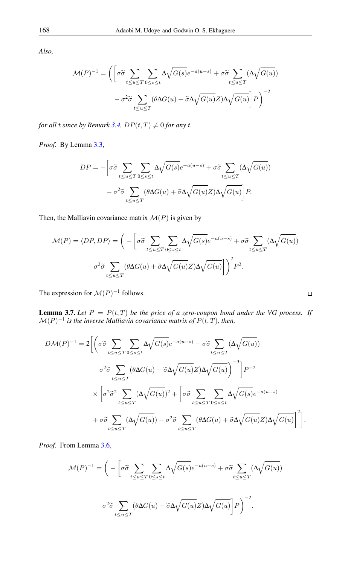*Also,*

$$
\mathcal{M}(P)^{-1} = \left( \left[ \sigma \widetilde{\sigma} \sum_{t \le u \le T} \sum_{0 \le s \le t} \Delta \sqrt{G(s)} e^{-a(u-s)} + \sigma \widetilde{\sigma} \sum_{t \le u \le T} (\Delta \sqrt{G(u)}) \right. \\ - \sigma^2 \widetilde{\sigma} \sum_{t \le u \le T} (\theta \Delta G(u) + \widetilde{\sigma} \Delta \sqrt{G(u)} Z) \Delta \sqrt{G(u)} \right) P \right)^{-2}
$$

*for all t since by Remark [3.4,](#page-8-0)*  $DP(t, T) \neq 0$  *for any t.* 

*Proof.* By Lemma [3.3,](#page-7-1)

$$
DP = -\left[\sigma\tilde{\sigma}\sum_{t\leq u\leq T}\sum_{0\leq s\leq t}\Delta\sqrt{G(s)}e^{-a(u-s)} + \sigma\tilde{\sigma}\sum_{t\leq u\leq T}(\Delta\sqrt{G(u)})\right] - \sigma^2\tilde{\sigma}\sum_{t\leq u\leq T}(\theta\Delta G(u) + \tilde{\sigma}\Delta\sqrt{G(u)}Z)\Delta\sqrt{G(u)}\right]P.
$$

Then, the Malliavin covariance matrix  $\mathcal{M}(P)$  is given by

$$
\mathcal{M}(P) = \langle DP, DP \rangle = \left( -\left[ \sigma \widetilde{\sigma} \sum_{t \le u \le T} \sum_{0 \le s \le t} \Delta \sqrt{G(s)} e^{-a(u-s)} + \sigma \widetilde{\sigma} \sum_{t \le u \le T} (\Delta \sqrt{G(u)}) \right. \right. \\ \left. - \sigma^2 \widetilde{\sigma} \sum_{t \le u \le T} (\theta \Delta G(u) + \widetilde{\sigma} \Delta \sqrt{G(u)} Z) \Delta \sqrt{G(u)} \right] \right)^2 P^2.
$$

The expression for  $\mathcal{M}(P)^{-1}$  follows.

<span id="page-9-0"></span>**Lemma 3.7.** Let  $P = P(t, T)$  be the price of a zero-coupon bond under the VG process. If  $\mathcal{M}(P)^{-1}$  is the inverse Malliavin covariance matrix of  $P(t,T)$ , then,

$$
D\mathcal{M}(P)^{-1} = 2 \Biggl[ \Biggl( \sigma \tilde{\sigma} \sum_{t \le u \le T} \sum_{0 \le s \le t} \Delta \sqrt{G(s)} e^{-a(u-s)} + \sigma \tilde{\sigma} \sum_{t \le u \le T} (\Delta \sqrt{G(u)})
$$
  

$$
- \sigma^2 \tilde{\sigma} \sum_{t \le u \le T} (\theta \Delta G(u) + \tilde{\sigma} \Delta \sqrt{G(u)} Z) \Delta \sqrt{G(u)} \Biggr)^{-3} \Biggr] P^{-2}
$$
  

$$
\times \Biggl[ \sigma^2 \tilde{\sigma}^2 \sum_{t \le u \le T} (\Delta \sqrt{G(u)})^2 + \Biggl[ \sigma \tilde{\sigma} \sum_{t \le u \le T} \sum_{0 \le s \le t} \Delta \sqrt{G(s)} e^{-a(u-s)} \Biggr]
$$
  

$$
+ \sigma \tilde{\sigma} \sum_{t \le u \le T} (\Delta \sqrt{G(u)}) - \sigma^2 \tilde{\sigma} \sum_{t \le u \le T} (\theta \Delta G(u) + \tilde{\sigma} \Delta \sqrt{G(u)} Z) \Delta \sqrt{G(u)} \Biggr]^2 \Biggr].
$$

*Proof.* From Lemma [3.6,](#page-8-1)

$$
\mathcal{M}(P)^{-1} = \bigg(-\bigg[\sigma\widetilde{\sigma}\sum_{t\leq u\leq T}\sum_{0\leq s\leq t}\Delta\sqrt{G(s)}e^{-a(u-s)} + \sigma\widetilde{\sigma}\sum_{t\leq u\leq T}(\Delta\sqrt{G(u)})
$$

$$
-\sigma^2\widetilde{\sigma}\sum_{t\leq u\leq T}(\theta\Delta G(u) + \widetilde{\sigma}\Delta\sqrt{G(u)}Z)\Delta\sqrt{G(u)}\bigg]P\bigg)^{-2}.
$$

$$
\Box
$$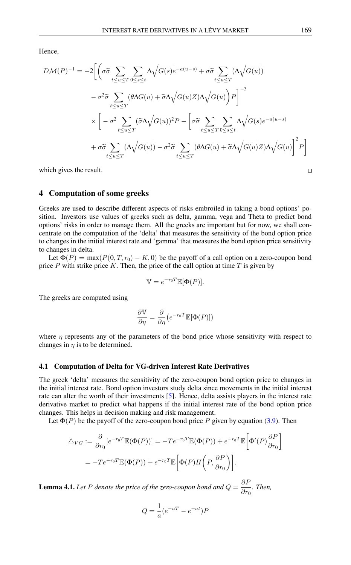Hence,

$$
D\mathcal{M}(P)^{-1} = -2 \Bigg[ \Bigg( \sigma \tilde{\sigma} \sum_{t \le u \le T} \sum_{0 \le s \le t} \Delta \sqrt{G(s)} e^{-a(u-s)} + \sigma \tilde{\sigma} \sum_{t \le u \le T} (\Delta \sqrt{G(u)})
$$

$$
- \sigma^2 \tilde{\sigma} \sum_{t \le u \le T} (\theta \Delta G(u) + \tilde{\sigma} \Delta \sqrt{G(u)} Z) \Delta \sqrt{G(u)} \Bigg) P \Bigg]^{-3}
$$

$$
\times \Bigg[ - \sigma^2 \sum_{t \le u \le T} (\tilde{\sigma} \Delta \sqrt{G(u)})^2 P - \Bigg[ \sigma \tilde{\sigma} \sum_{t \le u \le T} \sum_{0 \le s \le t} \Delta \sqrt{G(s)} e^{-a(u-s)}
$$

$$
+ \sigma \tilde{\sigma} \sum_{t \le u \le T} (\Delta \sqrt{G(u)}) - \sigma^2 \tilde{\sigma} \sum_{t \le u \le T} (\theta \Delta G(u) + \tilde{\sigma} \Delta \sqrt{G(u)} Z) \Delta \sqrt{G(u)} \Bigg]^2 P \Bigg]
$$

which gives the result.

## 4 Computation of some greeks

Greeks are used to describe different aspects of risks embroiled in taking a bond options' position. Investors use values of greeks such as delta, gamma, vega and Theta to predict bond options' risks in order to manage them. All the greeks are important but for now, we shall concentrate on the computation of the 'delta' that measures the sensitivity of the bond option price to changes in the initial interest rate and 'gamma' that measures the bond option price sensitivity to changes in delta.

Let  $\Phi(P) = \max(P(0, T, r_0) - K, 0)$  be the payoff of a call option on a zero-coupon bond price  $P$  with strike price  $K$ . Then, the price of the call option at time  $T$  is given by

$$
\mathbb{V} = e^{-r_0 T} \mathbb{E}[\Phi(P)].
$$

The greeks are computed using

$$
\frac{\partial \mathbb{V}}{\partial \eta} = \frac{\partial}{\partial \eta} \big( e^{-r_0 T} \mathbb{E}[\Phi(P)] \big)
$$

where  $\eta$  represents any of the parameters of the bond price whose sensitivity with respect to changes in  $\eta$  is to be determined.

#### 4.1 Computation of Delta for VG-driven Interest Rate Derivatives

The greek 'delta' measures the sensitivity of the zero-coupon bond option price to changes in the initial interest rate. Bond option investors study delta since movements in the initial interest rate can alter the worth of their investments [\[5\]](#page-16-10). Hence, delta assists players in the interest rate derivative market to predict what happens if the initial interest rate of the bond option price changes. This helps in decision making and risk management.

Let  $\Phi(P)$  be the payoff of the zero-coupon bond price P given by equation [\(3.9\)](#page-7-0). Then

$$
\Delta_{VG} := \frac{\partial}{\partial r_0} [e^{-r_0 T} \mathbb{E}(\Phi(P))] = -T e^{-r_0 T} \mathbb{E}(\Phi(P)) + e^{-r_0 T} \mathbb{E} \left[ \Phi'(P) \frac{\partial P}{\partial r_0} \right]
$$

$$
= -T e^{-r_0 T} \mathbb{E}(\Phi(P)) + e^{-r_0 T} \mathbb{E} \left[ \Phi(P) H\left(P, \frac{\partial P}{\partial r_0}\right) \right].
$$

<span id="page-10-0"></span>**Lemma 4.1.** Let P denote the price of the zero-coupon bond and  $Q = \frac{\partial F}{\partial x}$  $rac{\partial T}{\partial r_0}$ *. Then,* 

$$
Q = \frac{1}{a}(e^{-aT} - e^{-at})P
$$

 $\Box$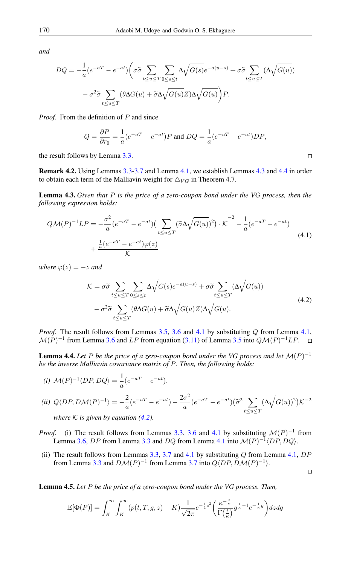*and*

$$
DQ = -\frac{1}{a}(e^{-aT} - e^{-at}) \left(\sigma \tilde{\sigma} \sum_{t \le u \le T} \sum_{0 \le s \le t} \Delta \sqrt{G(s)} e^{-a(u-s)} + \sigma \tilde{\sigma} \sum_{t \le u \le T} (\Delta \sqrt{G(u)}) - \sigma^2 \tilde{\sigma} \sum_{t \le u \le T} (\theta \Delta G(u) + \tilde{\sigma} \Delta \sqrt{G(u)} Z) \Delta \sqrt{G(u)} \right) P.
$$

*Proof.* From the definition of P and since

$$
Q = \frac{\partial P}{\partial r_0} = \frac{1}{a} (e^{-aT} - e^{-at}) P \text{ and } DQ = \frac{1}{a} (e^{-aT} - e^{-at}) DP,
$$

the result follows by Lemma [3.3.](#page-7-1)

Remark 4.2. Using Lemmas [3.3-](#page-7-1)[3.7](#page-9-0) and Lemma [4.1,](#page-10-0) we establish Lemmas [4.3](#page-11-0) and [4.4](#page-11-1) in order to obtain each term of the Malliavin weight for  $\triangle_{VG}$  in Theorem 4.7.

<span id="page-11-0"></span>Lemma 4.3. *Given that* P *is the price of a zero-coupon bond under the VG process, then the following expression holds:*

<span id="page-11-3"></span>
$$
Q\mathcal{M}(P)^{-1}LP = -\frac{\sigma^2}{a}(e^{-aT} - e^{-at})(\sum_{t \le u \le T} (\widetilde{\sigma}\Delta\sqrt{G(u)})^2) \cdot \mathcal{K}^{-2} - \frac{1}{a}(e^{-aT} - e^{-at}) + \frac{\frac{1}{a}(e^{-aT} - e^{-at})\varphi(z)}{\mathcal{K}}
$$
\n(4.1)

*where*  $\varphi(z) = -z$  *and* 

<span id="page-11-2"></span>
$$
\mathcal{K} = \sigma \tilde{\sigma} \sum_{t \le u \le T} \sum_{0 \le s \le t} \Delta \sqrt{G(s)} e^{-a(u-s)} + \sigma \tilde{\sigma} \sum_{t \le u \le T} (\Delta \sqrt{G(u)})
$$

$$
- \sigma^2 \tilde{\sigma} \sum_{t \le u \le T} (\theta \Delta G(u) + \tilde{\sigma} \Delta \sqrt{G(u)} Z) \Delta \sqrt{G(u)}.
$$
(4.2)

*Proof.* The result follows from Lemmas [3.5,](#page-8-2) [3.6](#page-8-1) and [4.1](#page-10-0) by substituting Q from Lemma [4.1,](#page-10-0)  $\mathcal{M}(P)^{-1}$  from Lemma [3.6](#page-8-1) and LP from equation [\(3.11\)](#page-8-3) of Lemma [3.5](#page-8-2) into  $Q\mathcal{M}(P)^{-1}LP$ .  $\Box$ 

<span id="page-11-1"></span>**Lemma 4.4.** Let P be the price of a zero-coupon bond under the VG process and let  $\mathcal{M}(P)^{-1}$ *be the inverse Malliavin covariance matrix of* P*. Then, the following holds:*

$$
(i) \mathcal{M}(P)^{-1} \langle DP, DQ \rangle = \frac{1}{a} (e^{-aT} - e^{-at}).
$$

(ii) 
$$
Q\langle DP, DM(P)^{-1}\rangle = -\frac{2}{a}(e^{-aT} - e^{-at}) - \frac{2\sigma^2}{a}(e^{-aT} - e^{-at}) (\widetilde{\sigma}^2 \sum_{t \le u \le T} (\Delta \sqrt{G(u)})^2) \mathcal{K}^{-2}
$$
  
where *K* is given by equation (4.2)

*where* K *is given by equation [\(4.2\)](#page-11-2).*

- *Proof.* (i) The result follows from Lemmas [3.3,](#page-7-1) [3.6](#page-8-1) and [4.1](#page-10-0) by substituting  $\mathcal{M}(P)^{-1}$  from Lemma [3.6,](#page-8-1) DP from Lemma [3.3](#page-7-1) and DQ from Lemma [4.1](#page-10-0) into  $\mathcal{M}(P)^{-1}\langle DP, DQ \rangle$ .
- (ii) The result follows from Lemmas  $3.3$ ,  $3.7$  and  $4.1$  by substituting Q from Lemma  $4.1$ ,  $DP$ from Lemma [3.3](#page-7-1) and  $D\mathcal{M}(P)^{-1}$  from Lemma [3.7](#page-9-0) into  $Q\langle DP, D\mathcal{M}(P)^{-1}\rangle$ .

<span id="page-11-4"></span>Lemma 4.5. *Let* P *be the price of a zero-coupon bond under the VG process. Then,*

$$
\mathbb{E}[\Phi(P)] = \int_K^{\infty} \int_K^{\infty} (p(t, T, g, z) - K) \frac{1}{\sqrt{2\pi}} e^{-\frac{1}{2}z^2} \left( \frac{\kappa^{-\frac{t}{\kappa}}}{\Gamma(\frac{t}{\kappa})} g^{\frac{t}{\kappa} - 1} e^{-\frac{1}{\kappa}g} \right) dz dg
$$

 $\Box$ 

 $\Box$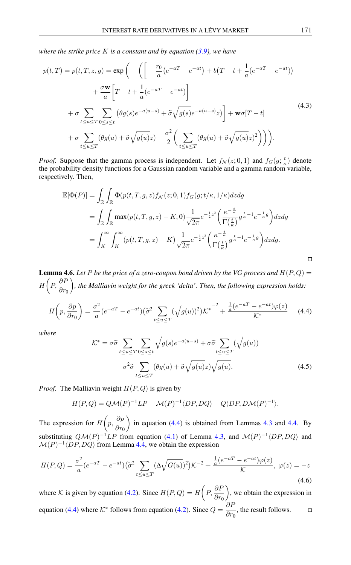*where the strike price* K *is a constant and by equation [\(3.9\)](#page-7-0), we have*

<span id="page-12-1"></span>
$$
p(t,T) = p(t,T,z,g) = \exp\left(-\left(\left[-\frac{r_0}{a}(e^{-aT} - e^{-at}) + b(T - t + \frac{1}{a}(e^{-aT} - e^{-at})\right)\right.\right.\left. + \frac{\sigma \mathbf{w}}{a}\left[T - t + \frac{1}{a}(e^{-aT} - e^{-at})\right]\right.\left. + \sigma \sum_{t \le u \le T} \sum_{0 \le s \le t} \left(\theta g(s)e^{-a(u-s)} + \tilde{\sigma}\sqrt{g(s)}e^{-a(u-s)}z\right)\right] + \mathbf{w}\sigma[T - t] \left. + \sigma \sum_{t \le u \le T} \left(\theta g(u) + \tilde{\sigma}\sqrt{g(u)}z\right) - \frac{\sigma^2}{2}\left(\sum_{t \le u \le T} \left(\theta g(u) + \tilde{\sigma}\sqrt{g(u)}z\right)^2\right)\right)\right).
$$
\n(4.3)

*Proof.* Suppose that the gamma process is independent. Let  $f_N(z; 0, 1)$  and  $f_G(g; \frac{t}{\kappa})$  denote the probability density functions for a Gaussian random variable and a gamma random variable, respectively. Then,

$$
\mathbb{E}[\Phi(P)] = \int_{\mathbb{R}} \int_{\mathbb{R}} \Phi(p(t, T, g, z) f_{\mathcal{N}}(z; 0, 1) f_{G}(g; t/\kappa, 1/\kappa) dz dg
$$
  
\n
$$
= \int_{\mathbb{R}} \int_{\mathbb{R}} \max(p(t, T, g, z) - K, 0) \frac{1}{\sqrt{2\pi}} e^{-\frac{1}{2}z^{2}} \left( \frac{\kappa^{-\frac{t}{\kappa}}}{\Gamma(\frac{t}{\kappa})} g^{\frac{t}{\kappa} - 1} e^{-\frac{1}{\kappa}g} \right) dz dg
$$
  
\n
$$
= \int_{K}^{\infty} \int_{K}^{\infty} (p(t, T, g, z) - K) \frac{1}{\sqrt{2\pi}} e^{-\frac{1}{2}z^{2}} \left( \frac{\kappa^{-\frac{t}{\kappa}}}{\Gamma(\frac{t}{\kappa})} g^{\frac{t}{\kappa} - 1} e^{-\frac{1}{\kappa}g} \right) dz dg.
$$

<span id="page-12-2"></span>**Lemma 4.6.** Let P be the price of a zero-coupon bond driven by the VG process and  $H(P,Q)$  =  $H\bigg(P,\frac{\partial P}{\partial r_0}$ *, the Malliavin weight for the greek 'delta'. Then, the following expression holds:*

$$
H\left(p, \frac{\partial p}{\partial r_0}\right) = \frac{\sigma^2}{a} (e^{-aT} - e^{-at}) \left(\tilde{\sigma}^2 \sum_{t \le u \le T} (\sqrt{g(u)})^2\right) K^{\ast} \left(\frac{1}{a} (e^{-aT} - e^{-at}) \varphi(z)\right)
$$
(4.4)

<span id="page-12-4"></span>*where*

<span id="page-12-0"></span>
$$
\mathcal{K}^* = \sigma \tilde{\sigma} \sum_{t \le u \le T} \sum_{0 \le s \le t} \sqrt{g(s)} e^{-a(u-s)} + \sigma \tilde{\sigma} \sum_{t \le u \le T} (\sqrt{g(u)})
$$

$$
-\sigma^2 \tilde{\sigma} \sum_{t \le u \le T} (\theta g(u) + \tilde{\sigma} \sqrt{g(u)} z) \sqrt{g(u)}.
$$
(4.5)

*Proof.* The Malliavin weight  $H(P,Q)$  is given by

<span id="page-12-3"></span>
$$
H(P,Q) = Q\mathcal{M}(P)^{-1}LP - \mathcal{M}(P)^{-1}\langle DP, DQ \rangle - Q\langle DP, D\mathcal{M}(P)^{-1} \rangle.
$$

The expression for  $H\left(p, \frac{\partial p}{\partial q}\right)$  $\partial r_0$ in equation  $(4.4)$  is obtained from Lemmas [4.3](#page-11-0) and [4.4.](#page-11-1) By substituting  $Q\mathcal{M}(P)^{-1}LP$  from equation [\(4.1\)](#page-11-3) of Lemma [4.3,](#page-11-0) and  $\mathcal{M}(P)^{-1}\langle DP, DQ\rangle$  and  $\mathcal{M}(P)^{-1} \langle DP, DQ \rangle$  from Lemma [4.4,](#page-11-1) we obtain the expression

$$
H(P,Q) = \frac{\sigma^2}{a} (e^{-aT} - e^{-at}) (\tilde{\sigma}^2 \sum_{t \le u \le T} (\Delta \sqrt{G(u)})^2) \mathcal{K}^{-2} + \frac{\frac{1}{a} (e^{-aT} - e^{-at}) \varphi(z)}{\mathcal{K}}, \ \varphi(z) = -z
$$
\n(4.6)

where K is given by equation [\(4.2\)](#page-11-2). Since  $H(P,Q) = H\left(P, \frac{\partial P}{\partial r_0}\right)$  , we obtain the expression in equation [\(4.4\)](#page-12-0) where  $K^*$  follows from equation [\(4.2\)](#page-11-2). Since  $Q = \frac{\partial F}{\partial x}$  $rac{\partial}{\partial r_0}$ , the result follows.  $\Box$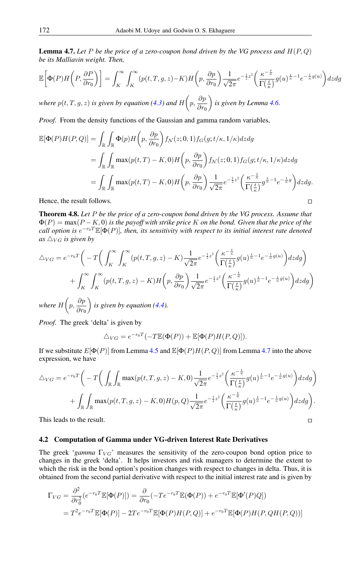<span id="page-13-0"></span>**Lemma 4.7.** Let P be the price of a zero-coupon bond driven by the VG process and  $H(P,Q)$ *be its Malliavin weight. Then,*

$$
\mathbb{E}\bigg[\Phi(P)H\bigg(P,\frac{\partial P}{\partial r_0}\bigg)\bigg] = \int_K^\infty \int_K^\infty (p(t,T,g,z)-K)H\bigg(p,\frac{\partial p}{\partial r_0}\bigg)\frac{1}{\sqrt{2\pi}}e^{-\frac{1}{2}z^2}\bigg(\frac{\kappa^{-\frac{t}{\kappa}}}{\Gamma(\frac{t}{\kappa})}g(u)^{\frac{t}{\kappa}-1}e^{-\frac{1}{\kappa}g(u)}\bigg)dzdg
$$

*where*  $p(t, T, g, z)$  *is given by equation* [\(4.3\)](#page-12-1) and  $H\left(p, \frac{\partial p}{\partial x}\right)$  $\partial r_0$ *is given by Lemma [4.6.](#page-12-2)*

*Proof.* From the density functions of the Gaussian and gamma random variables,

$$
\mathbb{E}[\Phi(P)H(P,Q)] = \int_{\mathbb{R}} \int_{\mathbb{R}} \Phi(p)H(p,\frac{\partial p}{\partial r_{0}}) f_{\mathcal{N}}(z;0,1) f_{G}(g;t/\kappa,1/\kappa) dz dg
$$
  
\n
$$
= \int_{\mathbb{R}} \int_{\mathbb{R}} \max(p(t,T) - K,0)H(p,\frac{\partial p}{\partial r_{0}}) f_{\mathcal{N}}(z;0,1) f_{G}(g;t/\kappa,1/\kappa) dz dg
$$
  
\n
$$
= \int_{\mathbb{R}} \int_{\mathbb{R}} \max(p(t,T) - K,0)H(p,\frac{\partial p}{\partial r_{0}}) \frac{1}{\sqrt{2\pi}} e^{-\frac{1}{2}z^{2}} \left(\frac{\kappa^{-\frac{t}{\kappa}}}{\Gamma(\frac{t}{\kappa})} g^{\frac{t}{\kappa}-1} e^{-\frac{1}{\kappa}g}\right) dz dg.
$$

Hence, the result follows.

Theorem 4.8. *Let* P *be the price of a zero-coupon bond driven by the VG process. Assume that* Φ(P) = max(P − K, 0) *is the payoff with strike price* K *on the bond. Given that the price of the* call option is  $e^{-r_0T}\mathbb{E}[\Phi(P)]$ , then, its sensitivity with respect to its initial interest rate denoted as  $\triangle_{VG}$  *is given by* 

 $\Box$ 

 $\Box$ 

$$
\Delta_{VG} = e^{-r_0 T} \left( -T \left( \int_K^\infty \int_K^\infty (p(t, T, g, z) - K) \frac{1}{\sqrt{2\pi}} e^{-\frac{1}{2}z^2} \left( \frac{\kappa^{-\frac{t}{\kappa}}}{\Gamma(\frac{t}{\kappa})} g(u)^{\frac{t}{\kappa} - 1} e^{-\frac{1}{\kappa} g(u)} \right) dz dg \right) + \int_K^\infty \int_K^\infty (p(t, T, g, z) - K) H\left(p, \frac{\partial p}{\partial r_0}\right) \frac{1}{\sqrt{2\pi}} e^{-\frac{1}{2}z^2} \left( \frac{\kappa^{-\frac{t}{\kappa}}}{\Gamma(\frac{t}{\kappa})} g(u)^{\frac{t}{\kappa} - 1} e^{-\frac{1}{\kappa} g(u)} \right) dz dg \right)
$$

*where*  $H\left(p, \frac{\partial p}{\partial q}\right)$  $\partial r_0$  $\hat{i}$  *is given by equation [\(4.4\)](#page-12-0).* 

*Proof.* The greek 'delta' is given by

$$
\triangle_{VG} = e^{-r_0 T}(-T \mathbb{E}(\Phi(P)) + \mathbb{E}[\Phi(P)H(P,Q)]).
$$

If we substitute  $E[\Phi(P)]$  from Lemma [4.5](#page-11-4) and  $\mathbb{E}[\Phi(P)H(P,Q)]$  from Lemma [4.7](#page-13-0) into the above expression, we have

$$
\triangle_{VG} = e^{-r_0 T} \bigg( -T \bigg( \int_{\mathbb{R}} \int_{\mathbb{R}} \max(p(t, T, g, z) - K, 0) \frac{1}{\sqrt{2\pi}} e^{-\frac{1}{2}z^2} \bigg( \frac{\kappa^{-\frac{t}{\kappa}}}{\Gamma(\frac{t}{\kappa})} g(u)^{\frac{t}{\kappa} - 1} e^{-\frac{1}{\kappa}g(u)} \bigg) dz dg \bigg) + \int_{\mathbb{R}} \int_{\mathbb{R}} \max(p(t, T, g, z) - K, 0) H(p, Q) \frac{1}{\sqrt{2\pi}} e^{-\frac{1}{2}z^2} \bigg( \frac{\kappa^{-\frac{t}{\kappa}}}{\Gamma(\frac{t}{\kappa})} g(u)^{\frac{t}{\kappa} - 1} e^{-\frac{1}{\kappa}g(u)} \bigg) dz dg \bigg).
$$

This leads to the result.

## 4.2 Computation of Gamma under VG-driven Interest Rate Derivatives

The greek '*gamma*  $\Gamma_{VG}$ ' measures the sensitivity of the zero-coupon bond option price to changes in the greek 'delta'. It helps investors and risk managers to determine the extent to which the risk in the bond option's position changes with respect to changes in delta. Thus, it is obtained from the second partial derivative with respect to the initial interest rate and is given by

$$
\Gamma_{VG} = \frac{\partial^2}{\partial r_0^2} (e^{-r_0 T} \mathbb{E}[\Phi(P)]) = \frac{\partial}{\partial r_0} (-Te^{-r_0 T} \mathbb{E}(\Phi(P)) + e^{-r_0 T} \mathbb{E}[\Phi'(P)Q])
$$
  
=  $T^2 e^{-r_0 T} \mathbb{E}[\Phi(P)] - 2Te^{-r_0 T} \mathbb{E}[\Phi(P)H(P,Q)] + e^{-r_0 T} \mathbb{E}[\Phi(P)H(P,QH(P,Q))]$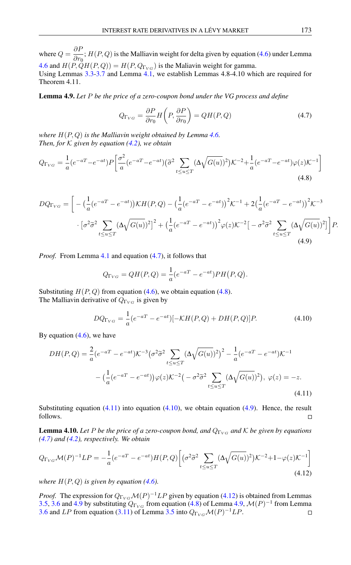where  $Q = \frac{\partial F}{\partial x}$  $\frac{\partial^2}{\partial r_0}$ ;  $H(P,Q)$  is the Malliavin weight for delta given by equation [\(4.6\)](#page-12-3) under Lemma [4.6](#page-12-2) and  $H(P, \dot{Q}H(P,Q)) = H(P, Q_{\Gamma_{VG}})$  is the Maliavin weight for gamma.

Using Lemmas [3.3](#page-7-1)[-3.7](#page-9-0) and Lemma [4.1,](#page-10-0) we establish Lemmas 4.8-4.10 which are required for Theorem 4.11.

<span id="page-14-6"></span>Lemma 4.9. *Let* P *be the price of a zero-coupon bond under the VG process and define*

<span id="page-14-1"></span><span id="page-14-0"></span>
$$
Q_{\Gamma_{VG}} = \frac{\partial P}{\partial r_0} H\left(P, \frac{\partial P}{\partial r_0}\right) = QH(P, Q)
$$
\n(4.7)

*where* H(P, Q) *is the Malliavin weight obtained by Lemma [4.6.](#page-12-2) Then, for*  $K$  *given by equation [\(4.2\)](#page-11-2), we obtain* 

$$
Q_{\Gamma_{VG}} = \frac{1}{a} (e^{-a} - e^{-at}) P \left[ \frac{\sigma^2}{a} (e^{-a} - e^{-at}) (\tilde{\sigma}^2 \sum_{t \le u \le T} (\Delta \sqrt{G(u)})^2) \mathcal{K}^{-2} + \frac{1}{a} (e^{-a} - e^{-at}) \varphi(z) \mathcal{K}^{-1} \right]
$$
(4.8)

<span id="page-14-4"></span>
$$
DQ_{\Gamma_{VG}} = \left[ -\left(\frac{1}{a}(e^{-aT} - e^{-at})\right) \mathcal{K}H(P,Q) - \left(\frac{1}{a}(e^{-aT} - e^{-at})\right)^2 \mathcal{K}^{-1} + 2\left(\frac{1}{a}(e^{-aT} - e^{-at})\right)^2 \mathcal{K}^{-3} \right. \\ \left. \left. - \left[\sigma^2 \tilde{\sigma}^2 \sum_{t \le u \le T} (\Delta \sqrt{G(u)})^2\right]^2 + \left(\frac{1}{a}(e^{-aT} - e^{-at})\right)^2 \varphi(z) \mathcal{K}^{-2} \left[ -\sigma^2 \tilde{\sigma}^2 \sum_{t \le u \le T} (\Delta \sqrt{G(u)})^2\right] \right] P. \tag{4.9}
$$

*Proof.* From Lemma [4.1](#page-10-0) and equation [\(4.7\)](#page-14-0), it follows that

<span id="page-14-3"></span>
$$
Q_{\Gamma_{VG}} = QH(P,Q) = \frac{1}{a}(e^{-aT} - e^{-at})PH(P,Q).
$$

Substituting  $H(P,Q)$  from equation [\(4.6\)](#page-12-3), we obtain equation [\(4.8\)](#page-14-1). The Malliavin derivative of  $Q_{\Gamma_{VG}}$  is given by

<span id="page-14-2"></span>
$$
DQ_{\Gamma_{VG}} = \frac{1}{a}(e^{-aT} - e^{-at})[-KH(P,Q) + DH(P,Q)]P.
$$
 (4.10)

By equation  $(4.6)$ , we have

$$
DH(P,Q) = \frac{2}{a} (e^{-aT} - e^{-at}) \mathcal{K}^{-3} (\sigma^2 \tilde{\sigma}^2 \sum_{t \le u \le T} (\Delta \sqrt{G(u)})^2)^2 - \frac{1}{a} (e^{-aT} - e^{-at}) \mathcal{K}^{-1}
$$

$$
- \left( \frac{1}{a} (e^{-aT} - e^{-at}) \right) \varphi(z) \mathcal{K}^{-2} \left( -\sigma^2 \tilde{\sigma}^2 \sum_{t \le u \le T} (\Delta \sqrt{G(u)})^2 \right), \ \varphi(z) = -z.
$$
(4.11)

Substituting equation  $(4.11)$  into equation  $(4.10)$ , we obtain equation  $(4.9)$ . Hence, the result follows.  $\Box$ 

<span id="page-14-7"></span><span id="page-14-5"></span>**Lemma 4.10.** Let P be the price of a zero-coupon bond, and  $Q_{\Gamma_{\rm{VC}}}$  and K be given by equations *[\(4.7\)](#page-14-0) and [\(4.2\)](#page-11-2), respectively. We obtain*

$$
Q_{\Gamma_{VG}}\mathcal{M}(P)^{-1}LP = -\frac{1}{a}(e^{-aT} - e^{-at})H(P,Q)\left[ (\sigma^2 \tilde{\sigma}^2 \sum_{t \le u \le T} (\Delta \sqrt{G(u)})^2) \mathcal{K}^{-2} + 1 - \varphi(z)\mathcal{K}^{-1} \right]
$$
\n(4.12)

*where*  $H(P,Q)$  *is given by equation* [\(4.6\)](#page-12-3)*.* 

*Proof.* The expression for  $Q_{\Gamma_{VG}}\mathcal{M}(P)^{-1}LP$  given by equation [\(4.12\)](#page-14-5) is obtained from Lemmas [3.5,](#page-8-2) [3.6](#page-8-1) and [4.9](#page-14-6) by substituting  $Q_{\Gamma_{VG}}$  from equation [\(4.8\)](#page-14-1) of Lemma [4.9,](#page-14-6)  $\mathcal{M}(P)^{-1}$  from Lemma [3.6](#page-8-1) and LP from equation [\(3.11\)](#page-8-3) of Lemma [3.5](#page-8-2) into  $Q_{\Gamma_{VG}}\mathcal{M}(P)^{-1}LP$ .  $\Box$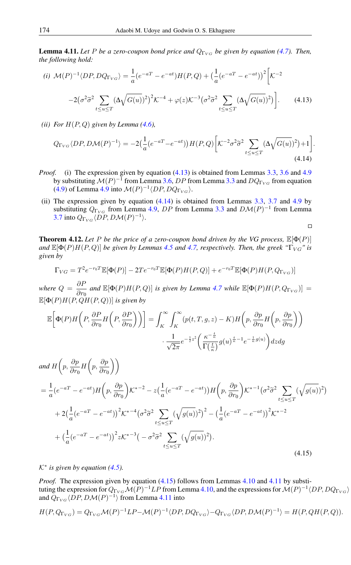<span id="page-15-3"></span>**Lemma 4.11.** Let P be a zero-coupon bond price and  $Q_{\Gamma_{VG}}$  be given by equation [\(4.7\)](#page-14-0). Then, *the following hold:*

(i) 
$$
\mathcal{M}(P)^{-1} \langle DP, DQ_{\Gamma_{VG}} \rangle = \frac{1}{a} (e^{-aT} - e^{-at}) H(P, Q) + \left(\frac{1}{a} (e^{-aT} - e^{-at})\right)^2 \left[\mathcal{K}^{-2}\right]
$$
  

$$
-2(\sigma^2 \tilde{\sigma}^2 \sum_{t \le u \le T} (\Delta \sqrt{G(u)})^2)^2 \mathcal{K}^{-4} + \varphi(z) \mathcal{K}^{-3} (\sigma^2 \tilde{\sigma}^2 \sum_{t \le u \le T} (\Delta \sqrt{G(u)})^2).
$$
 (4.13)

*(ii) For*  $H(P,Q)$  *given by Lemma [\(4.6\)](#page-12-2),* 

<span id="page-15-1"></span>
$$
Q_{\Gamma_{VG}}\langle DP, DM(P)^{-1} \rangle = -2\left(\frac{1}{a}(e^{-aT} - e^{-at}))H(P, Q)\left[\mathcal{K}^{-2}\sigma^2 \tilde{\sigma}^2 \sum_{t \le u \le T} (\Delta \sqrt{G(u)})^2\right) + 1\right].
$$
\n(4.14)

- *Proof.* (i) The expression given by equation [\(4.13\)](#page-15-0) is obtained from Lemmas [3.3,](#page-7-1) [3.6](#page-8-1) and [4.9](#page-14-6) by substituting  $\mathcal{M}(P)^{-1}$  from Lemma [3.6,](#page-8-1)  $DP$  from Lemma [3.3](#page-7-1) and  $DQ_{\Gamma_{VG}}$  from equation [\(4.9\)](#page-14-4) of Lemma [4.9](#page-14-6) into  $\mathcal{M}(P)^{-1} \langle DP, DQ_{\Gamma_{VG}} \rangle$ .
- (ii) The expression given by equation [\(4.14\)](#page-15-1) is obtained from Lemmas [3.3,](#page-7-1) [3.7](#page-9-0) and [4.9](#page-14-6) by substituting  $Q_{\Gamma_{VG}}$  from Lemma [4.9,](#page-14-6) DP from Lemma [3.3](#page-7-1) and  $D\mathcal{M}(P)^{-1}$  from Lemma [3.7](#page-9-0) into  $Q_{\Gamma_{VG}}\langle DP, D\mathcal{M}(P)^{-1}\rangle$ .

<span id="page-15-0"></span>
$$
\Box
$$

**Theorem 4.12.** Let P be the price of a zero-coupon bond driven by the VG process,  $\mathbb{E}[\Phi(P)]$ *and*  $\mathbb{E}[\Phi(P)H(P,Q)]$  *be given by Lemmas [4.5](#page-11-4) and [4.7,](#page-13-0) respectively. Then, the greek "* $\Gamma_{VG}$ *" is given by*

$$
\Gamma_{VG} = T^2 e^{-r_0 T} \mathbb{E}[\Phi(P)] - 2Te^{-r_0 T} \mathbb{E}[\Phi(P)H(P,Q)] + e^{-r_0 T} \mathbb{E}[\Phi(P)H(P,Q_{\Gamma_{VG}})]
$$

*where*  $Q = \frac{\partial F}{\partial x}$  $\frac{\partial F}{\partial r_0}$  and  $\mathbb{E}[\Phi(P)H(P,Q)]$  *is given by Lemma [4.7](#page-13-0) while*  $\mathbb{E}[\Phi(P)H(P,Q_{\Gamma_{VG}})] =$  $\mathbb{E}[\Phi(P)H(P,QH(P,Q))]$  *is given by* 

$$
\mathbb{E}\bigg[\Phi(P)H\bigg(P,\frac{\partial P}{\partial r_0}H\bigg(P,\frac{\partial P}{\partial r_0}\bigg)\bigg)\bigg] = \int_K^\infty \int_K^\infty (p(t,T,g,z) - K)H\bigg(p,\frac{\partial p}{\partial r_0}H\bigg(p,\frac{\partial p}{\partial r_0}\bigg)\bigg) \cdot \frac{1}{\sqrt{2\pi}}e^{-\frac{1}{2}z^2}\bigg(\frac{\kappa^{-\frac{t}{\kappa}}}{\Gamma\left(\frac{t}{\kappa}\right)}g(u)^{\frac{t}{\kappa}-1}e^{-\frac{1}{\kappa}g(u)}\bigg)dzdg
$$

<span id="page-15-2"></span>
$$
and H\left(p, \frac{\partial p}{\partial r_0} H\left(p, \frac{\partial p}{\partial r_0}\right)\right)
$$
\n
$$
= \frac{1}{a} \left(e^{-aT} - e^{-at}\right) H\left(p, \frac{\partial p}{\partial r_0}\right) \mathcal{K}^{*-2} - z \left(\frac{1}{a} \left(e^{-aT} - e^{-at}\right)\right) H\left(p, \frac{\partial p}{\partial r_0}\right) \mathcal{K}^{*-1} \left(\sigma^2 \tilde{\sigma}^2 \sum_{t \le u \le T} (\sqrt{g(u)})^2\right)
$$
\n
$$
+ 2 \left(\frac{1}{a} \left(e^{-aT} - e^{-at}\right)\right)^2 \mathcal{K}^{*-4} \left(\sigma^2 \tilde{\sigma}^2 \sum_{t \le u \le T} (\sqrt{g(u)})^2\right)^2 - \left(\frac{1}{a} \left(e^{-aT} - e^{-at}\right)\right)^2 \mathcal{K}^{*-2}
$$
\n
$$
+ \left(\frac{1}{a} \left(e^{-aT} - e^{-at}\right)\right)^2 z \mathcal{K}^{*-3} \left(-\sigma^2 \tilde{\sigma}^2 \sum_{t \le u \le T} (\sqrt{g(u)})^2\right).
$$
\n(4.15)

K<sup>∗</sup> *is given by equation [\(4.5\)](#page-12-4).*

*Proof.* The expression given by equation [\(4.15\)](#page-15-2) follows from Lemmas [4.10](#page-14-7) and [4.11](#page-15-3) by substituting the expression for  $Q_{\Gamma_{VG}}\mathcal{M}(P)^{-1}LP$  from Lemma [4.10,](#page-14-7) and the expressions for  $\mathcal{M}(P)^{-1}\langle DP, DQ_{\Gamma_{VG}}\rangle$ and  $Q_{\Gamma_{VG}}\langle DP, D\mathcal{M}(P)^{-1}\rangle$  from Lemma [4.11](#page-15-3) into

$$
H(P,Q_{\Gamma_{VG}}) = Q_{\Gamma_{VG}} \mathcal{M}(P)^{-1} L P - \mathcal{M}(P)^{-1} \langle DP, DQ_{\Gamma_{VG}} \rangle - Q_{\Gamma_{VG}} \langle DP, D\mathcal{M}(P)^{-1} \rangle = H(P, QH(P, Q)).
$$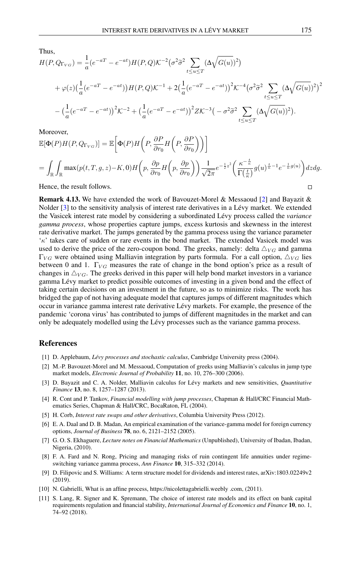Thus,

$$
H(P, Q_{\Gamma_{VG}}) = \frac{1}{a} (e^{-aT} - e^{-at}) H(P, Q) \mathcal{K}^{-2} (\sigma^2 \tilde{\sigma}^2 \sum_{t \le u \le T} (\Delta \sqrt{G(u)})^2)
$$
  
+  $\varphi(z) (\frac{1}{a} (e^{-aT} - e^{-at})) H(P, Q) \mathcal{K}^{-1} + 2 (\frac{1}{a} (e^{-aT} - e^{-at}))^2 \mathcal{K}^{-4} (\sigma^2 \tilde{\sigma}^2 \sum_{t \le u \le T} (\Delta \sqrt{G(u)})^2)^2$   
-  $(\frac{1}{a} (e^{-aT} - e^{-at}))^2 \mathcal{K}^{-2} + (\frac{1}{a} (e^{-aT} - e^{-at}))^2 Z \mathcal{K}^{-3} (- \sigma^2 \tilde{\sigma}^2 \sum_{t \le u \le T} (\Delta \sqrt{G(u)})^2).$ 

Moreover,

$$
\mathbb{E}[\Phi(P)H(P,Q_{\Gamma_{VG}})] = \mathbb{E}\left[\Phi(P)H\left(P,\frac{\partial P}{\partial r_0}H\left(P,\frac{\partial P}{\partial r_0}\right)\right)\right]
$$
\n
$$
= \int_{\mathbb{R}} \int_{\mathbb{R}} \max(p(t,T,g,z) - K,0)H\left(p,\frac{\partial p}{\partial r_0}H\left(p,\frac{\partial p}{\partial r_0}\right)\right) \frac{1}{\sqrt{2\pi}} e^{-\frac{1}{2}z^2} \left(\frac{\kappa^{-\frac{t}{\kappa}}}{\Gamma(\frac{t}{\kappa})} g(u)^{\frac{t}{\kappa}-1} e^{-\frac{1}{\kappa}g(u)}\right) dz dg.
$$
\nHence, the result follows.

Hence, the result follows.

Remark 4.13. We have extended the work of Bavouzet-Morel & Messaoud [\[2\]](#page-16-5) and Bayazit & Nolder [\[3\]](#page-16-6) to the sensitivity analysis of interest rate derivatives in a Lévy market. We extended the Vasicek interest rate model by considering a subordinated Lévy process called the *variance gamma process*, whose properties capture jumps, excess kurtosis and skewness in the interest rate derivative market. The jumps generated by the gamma process using the variance parameter  $\kappa'$  takes care of sudden or rare events in the bond market. The extended Vasicek model was used to derive the price of the zero-coupon bond. The greeks, namely: delta  $\triangle_{VG}$  and gamma  $\Gamma_{VG}$  were obtained using Malliavin integration by parts formula. For a call option,  $\Delta_{VG}$  lies between 0 and 1.  $\Gamma_{VG}$  measures the rate of change in the bond option's price as a result of changes in  $\triangle_{VG}$ . The greeks derived in this paper will help bond market investors in a variance gamma Lévy market to predict possible outcomes of investing in a given bond and the effect of taking certain decisions on an investment in the future, so as to minimize risks. The work has bridged the gap of not having adequate model that captures jumps of different magnitudes which occur in variance gamma interest rate derivative Lévy markets. For example, the presence of the pandemic 'corona virus' has contributed to jumps of different magnitudes in the market and can only be adequately modelled using the Lévy processes such as the variance gamma process.

# <span id="page-16-0"></span>References

- <span id="page-16-7"></span>[1] D. Applebaum, *Lévy processes and stochastic calculus*, Cambridge University press (2004).
- <span id="page-16-5"></span>[2] M.-P. Bavouzet-Morel and M. Messaoud, Computation of greeks using Malliavin's calculus in jump type market models, *Electronic Journal of Probability* 11, no. 10, 276–300 (2006).
- <span id="page-16-6"></span>[3] D. Bayazit and C. A. Nolder, Malliavin calculus for Lévy markets and new sensitivities, *Quantitative Finance* 13, no. 8, 1257–1287 (2013).
- <span id="page-16-8"></span>[4] R. Cont and P. Tankov, *Financial modelling with jump processes*, Chapman & Hall/CRC Financial Mathematics Series, Chapman & Hall/CRC, BocaRaton, FL (2004).
- <span id="page-16-10"></span>[5] H. Corb, *Interest rate swaps and other derivatives*, Columbia University Press (2012).
- <span id="page-16-1"></span>[6] E. A. Daal and D. B. Madan, An empirical examination of the variance-gamma model for foreign currency options, *Journal of Business* 78, no. 6, 2121–2152 (2005).
- [7] G. O. S. Ekhaguere, *Lecture notes on Financial Mathematics* (Unpublished), University of Ibadan, Ibadan, Nigeria, (2010).
- <span id="page-16-2"></span>[8] F. A. Fard and N. Rong, Pricing and managing risks of ruin contingent life annuities under regimeswitching variance gamma process, *Ann Finance* 10, 315–332 (2014).
- <span id="page-16-4"></span>[9] D. Filipovic and S. Williams: A term structure model for dividends and interest rates, arXiv:1803.02249v2 (2019).
- <span id="page-16-9"></span>[10] N. Gabrielli, What is an affine process, https://nicolettagabrielli.weebly .com, (2011).
- <span id="page-16-3"></span>[11] S. Lang, R. Signer and K. Spremann, The choice of interest rate models and its effect on bank capital requirements regulation and financial stability, *International Journal of Economics and Finance* 10, no. 1, 74–92 (2018).